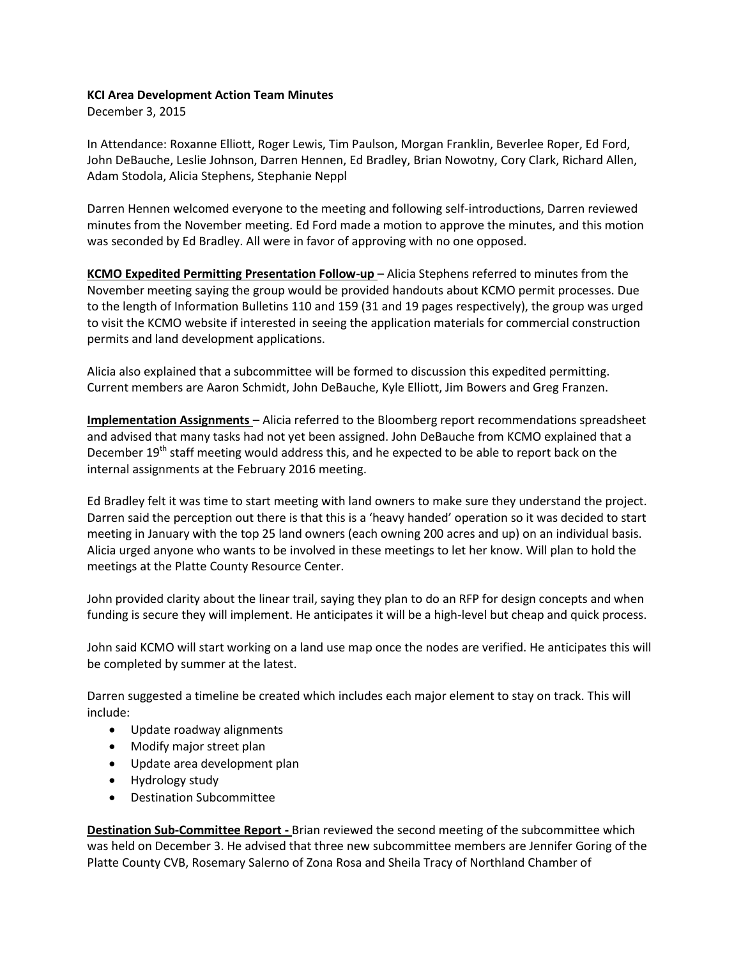## **KCI Area Development Action Team Minutes**

December 3, 2015

In Attendance: Roxanne Elliott, Roger Lewis, Tim Paulson, Morgan Franklin, Beverlee Roper, Ed Ford, John DeBauche, Leslie Johnson, Darren Hennen, Ed Bradley, Brian Nowotny, Cory Clark, Richard Allen, Adam Stodola, Alicia Stephens, Stephanie Neppl

Darren Hennen welcomed everyone to the meeting and following self-introductions, Darren reviewed minutes from the November meeting. Ed Ford made a motion to approve the minutes, and this motion was seconded by Ed Bradley. All were in favor of approving with no one opposed.

**KCMO Expedited Permitting Presentation Follow-up** – Alicia Stephens referred to minutes from the November meeting saying the group would be provided handouts about KCMO permit processes. Due to the length of Information Bulletins 110 and 159 (31 and 19 pages respectively), the group was urged to visit the KCMO website if interested in seeing the application materials for commercial construction permits and land development applications.

Alicia also explained that a subcommittee will be formed to discussion this expedited permitting. Current members are Aaron Schmidt, John DeBauche, Kyle Elliott, Jim Bowers and Greg Franzen.

**Implementation Assignments** – Alicia referred to the Bloomberg report recommendations spreadsheet and advised that many tasks had not yet been assigned. John DeBauche from KCMO explained that a December 19<sup>th</sup> staff meeting would address this, and he expected to be able to report back on the internal assignments at the February 2016 meeting.

Ed Bradley felt it was time to start meeting with land owners to make sure they understand the project. Darren said the perception out there is that this is a 'heavy handed' operation so it was decided to start meeting in January with the top 25 land owners (each owning 200 acres and up) on an individual basis. Alicia urged anyone who wants to be involved in these meetings to let her know. Will plan to hold the meetings at the Platte County Resource Center.

John provided clarity about the linear trail, saying they plan to do an RFP for design concepts and when funding is secure they will implement. He anticipates it will be a high-level but cheap and quick process.

John said KCMO will start working on a land use map once the nodes are verified. He anticipates this will be completed by summer at the latest.

Darren suggested a timeline be created which includes each major element to stay on track. This will include:

- Update roadway alignments
- Modify major street plan
- Update area development plan
- Hydrology study
- Destination Subcommittee

**Destination Sub-Committee Report -** Brian reviewed the second meeting of the subcommittee which was held on December 3. He advised that three new subcommittee members are Jennifer Goring of the Platte County CVB, Rosemary Salerno of Zona Rosa and Sheila Tracy of Northland Chamber of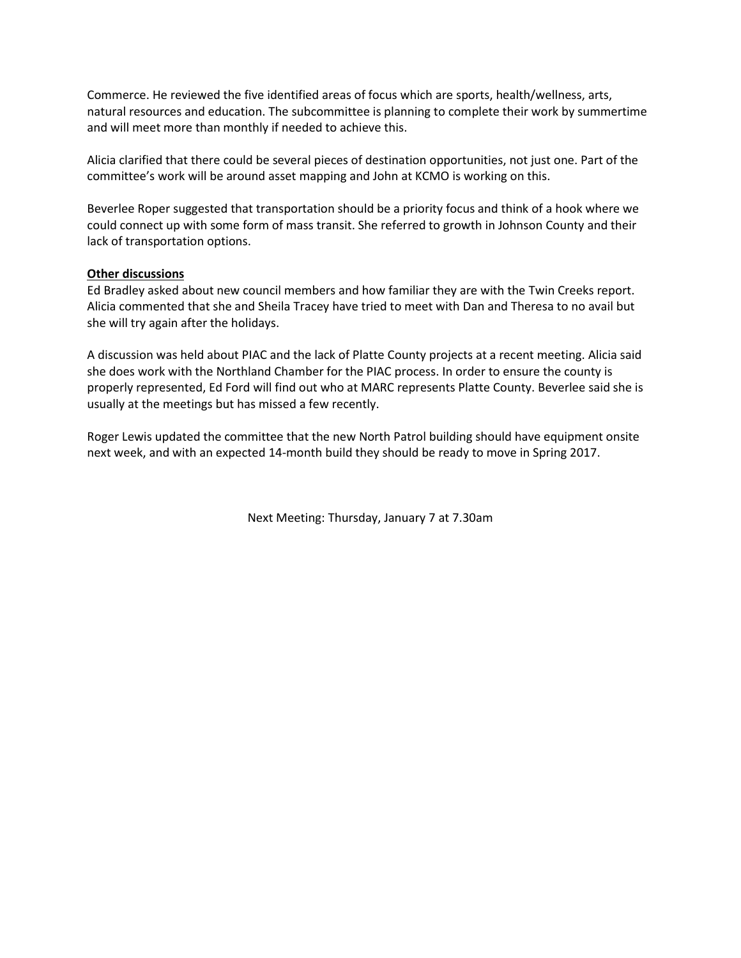Commerce. He reviewed the five identified areas of focus which are sports, health/wellness, arts, natural resources and education. The subcommittee is planning to complete their work by summertime and will meet more than monthly if needed to achieve this.

Alicia clarified that there could be several pieces of destination opportunities, not just one. Part of the committee's work will be around asset mapping and John at KCMO is working on this.

Beverlee Roper suggested that transportation should be a priority focus and think of a hook where we could connect up with some form of mass transit. She referred to growth in Johnson County and their lack of transportation options.

## **Other discussions**

Ed Bradley asked about new council members and how familiar they are with the Twin Creeks report. Alicia commented that she and Sheila Tracey have tried to meet with Dan and Theresa to no avail but she will try again after the holidays.

A discussion was held about PIAC and the lack of Platte County projects at a recent meeting. Alicia said she does work with the Northland Chamber for the PIAC process. In order to ensure the county is properly represented, Ed Ford will find out who at MARC represents Platte County. Beverlee said she is usually at the meetings but has missed a few recently.

Roger Lewis updated the committee that the new North Patrol building should have equipment onsite next week, and with an expected 14-month build they should be ready to move in Spring 2017.

Next Meeting: Thursday, January 7 at 7.30am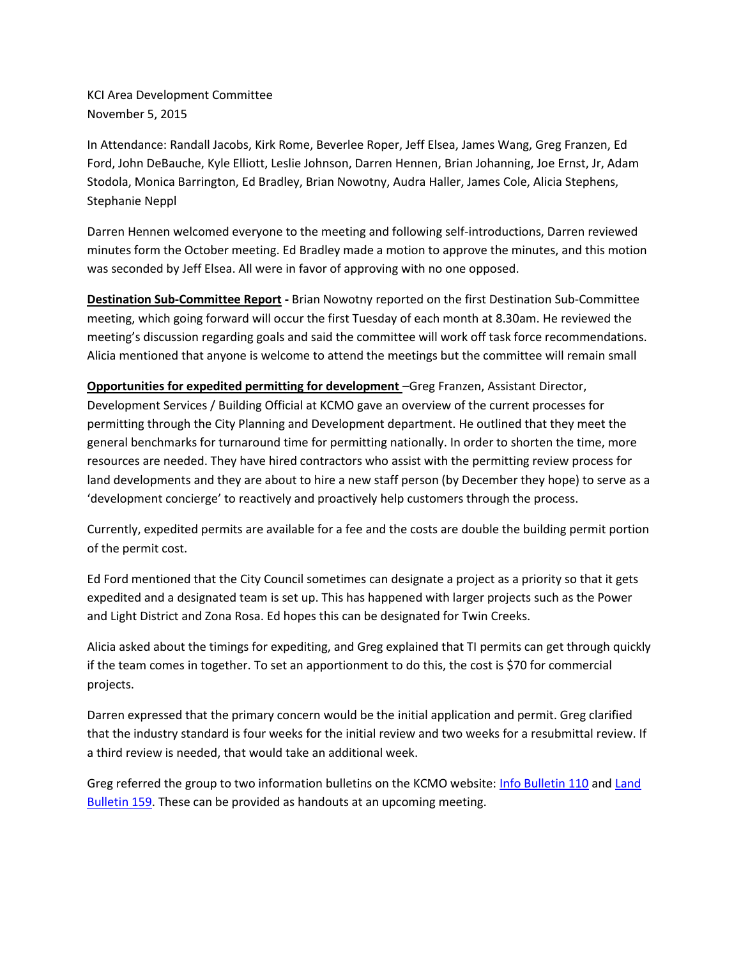KCI Area Development Committee November 5, 2015

In Attendance: Randall Jacobs, Kirk Rome, Beverlee Roper, Jeff Elsea, James Wang, Greg Franzen, Ed Ford, John DeBauche, Kyle Elliott, Leslie Johnson, Darren Hennen, Brian Johanning, Joe Ernst, Jr, Adam Stodola, Monica Barrington, Ed Bradley, Brian Nowotny, Audra Haller, James Cole, Alicia Stephens, Stephanie Neppl

Darren Hennen welcomed everyone to the meeting and following self-introductions, Darren reviewed minutes form the October meeting. Ed Bradley made a motion to approve the minutes, and this motion was seconded by Jeff Elsea. All were in favor of approving with no one opposed.

**Destination Sub-Committee Report -** Brian Nowotny reported on the first Destination Sub-Committee meeting, which going forward will occur the first Tuesday of each month at 8.30am. He reviewed the meeting's discussion regarding goals and said the committee will work off task force recommendations. Alicia mentioned that anyone is welcome to attend the meetings but the committee will remain small

**Opportunities for expedited permitting for development** –Greg Franzen, Assistant Director, Development Services / Building Official at KCMO gave an overview of the current processes for permitting through the City Planning and Development department. He outlined that they meet the general benchmarks for turnaround time for permitting nationally. In order to shorten the time, more resources are needed. They have hired contractors who assist with the permitting review process for land developments and they are about to hire a new staff person (by December they hope) to serve as a 'development concierge' to reactively and proactively help customers through the process.

Currently, expedited permits are available for a fee and the costs are double the building permit portion of the permit cost.

Ed Ford mentioned that the City Council sometimes can designate a project as a priority so that it gets expedited and a designated team is set up. This has happened with larger projects such as the Power and Light District and Zona Rosa. Ed hopes this can be designated for Twin Creeks.

Alicia asked about the timings for expediting, and Greg explained that TI permits can get through quickly if the team comes in together. To set an apportionment to do this, the cost is \$70 for commercial projects.

Darren expressed that the primary concern would be the initial application and permit. Greg clarified that the industry standard is four weeks for the initial review and two weeks for a resubmittal review. If a third review is needed, that would take an additional week.

Greg referred the group to two information bulletins on the KCMO website: [Info Bulletin 110](http://kcmo.gov/wp-content/uploads/sites/9/2014/01/IB110PartABuildingPermitInformationIntroduction1.pdf) and Land [Bulletin 159.](https://data.kcmo.org/Information-Bulletins/IB159-Additional-Land-Development-Application-Info/k939-xu8x) These can be provided as handouts at an upcoming meeting.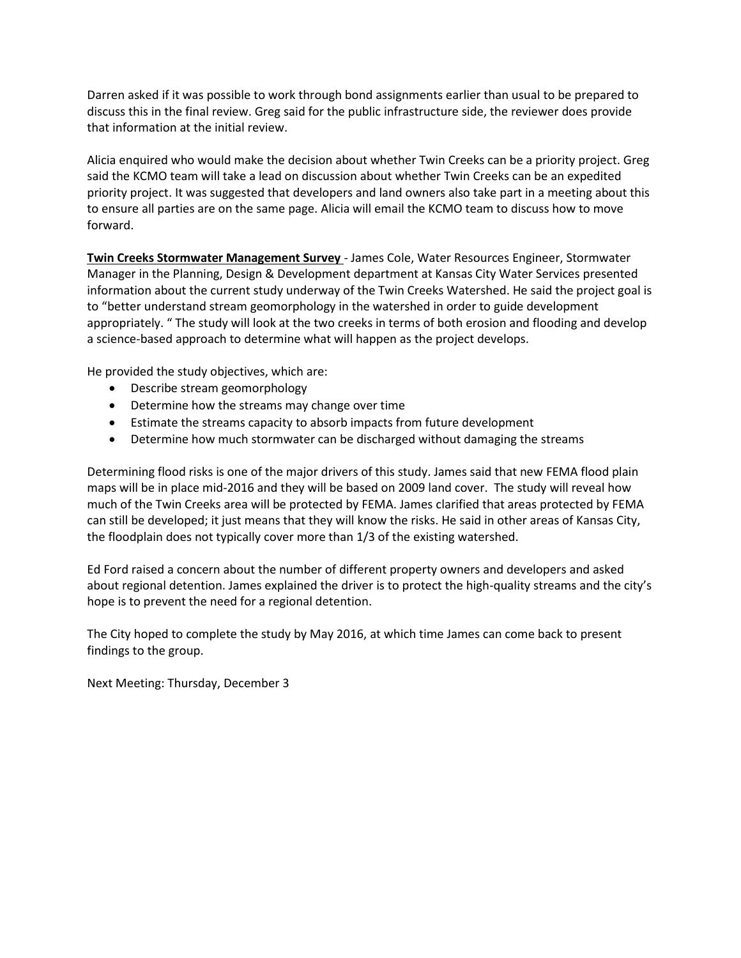Darren asked if it was possible to work through bond assignments earlier than usual to be prepared to discuss this in the final review. Greg said for the public infrastructure side, the reviewer does provide that information at the initial review.

Alicia enquired who would make the decision about whether Twin Creeks can be a priority project. Greg said the KCMO team will take a lead on discussion about whether Twin Creeks can be an expedited priority project. It was suggested that developers and land owners also take part in a meeting about this to ensure all parties are on the same page. Alicia will email the KCMO team to discuss how to move forward.

**Twin Creeks Stormwater Management Survey** - James Cole, Water Resources Engineer, Stormwater Manager in the Planning, Design & Development department at Kansas City Water Services presented information about the current study underway of the Twin Creeks Watershed. He said the project goal is to "better understand stream geomorphology in the watershed in order to guide development appropriately. " The study will look at the two creeks in terms of both erosion and flooding and develop a science-based approach to determine what will happen as the project develops.

He provided the study objectives, which are:

- Describe stream geomorphology
- Determine how the streams may change over time
- Estimate the streams capacity to absorb impacts from future development
- Determine how much stormwater can be discharged without damaging the streams

Determining flood risks is one of the major drivers of this study. James said that new FEMA flood plain maps will be in place mid-2016 and they will be based on 2009 land cover. The study will reveal how much of the Twin Creeks area will be protected by FEMA. James clarified that areas protected by FEMA can still be developed; it just means that they will know the risks. He said in other areas of Kansas City, the floodplain does not typically cover more than 1/3 of the existing watershed.

Ed Ford raised a concern about the number of different property owners and developers and asked about regional detention. James explained the driver is to protect the high-quality streams and the city's hope is to prevent the need for a regional detention.

The City hoped to complete the study by May 2016, at which time James can come back to present findings to the group.

Next Meeting: Thursday, December 3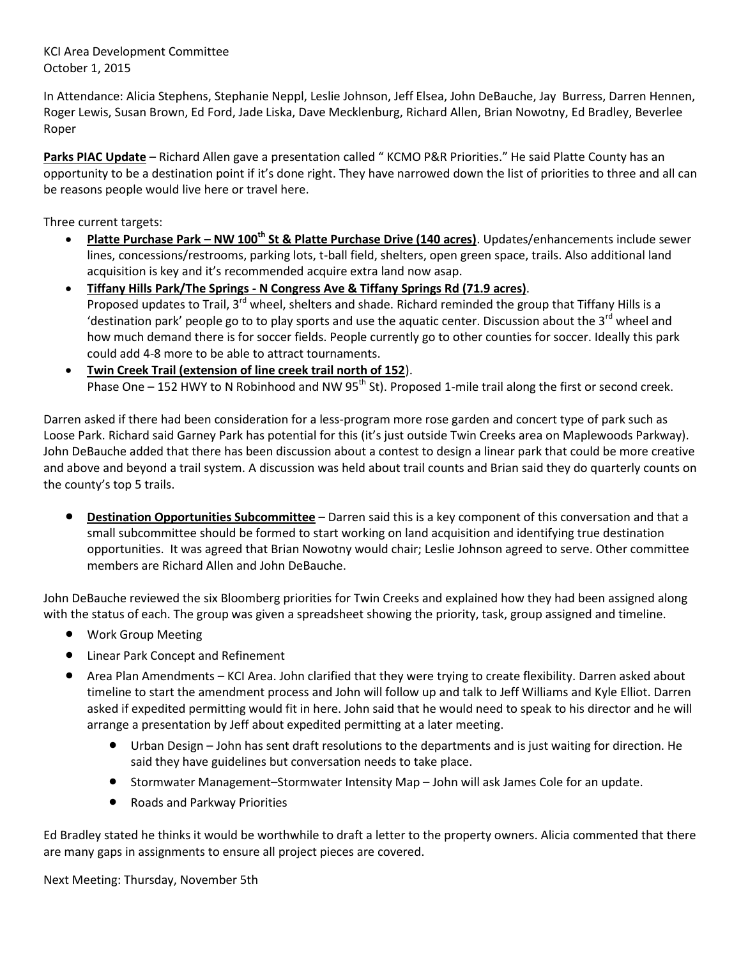KCI Area Development Committee October 1, 2015

In Attendance: Alicia Stephens, Stephanie Neppl, Leslie Johnson, Jeff Elsea, John DeBauche, Jay Burress, Darren Hennen, Roger Lewis, Susan Brown, Ed Ford, Jade Liska, Dave Mecklenburg, Richard Allen, Brian Nowotny, Ed Bradley, Beverlee Roper

**Parks PIAC Update** – Richard Allen gave a presentation called " KCMO P&R Priorities." He said Platte County has an opportunity to be a destination point if it's done right. They have narrowed down the list of priorities to three and all can be reasons people would live here or travel here.

Three current targets:

- **Platte Purchase Park – NW 100th St & Platte Purchase Drive (140 acres)**. Updates/enhancements include sewer lines, concessions/restrooms, parking lots, t-ball field, shelters, open green space, trails. Also additional land acquisition is key and it's recommended acquire extra land now asap.
- **Tiffany Hills Park/The Springs - N Congress Ave & Tiffany Springs Rd (71.9 acres)**. Proposed updates to Trail, 3<sup>rd</sup> wheel, shelters and shade. Richard reminded the group that Tiffany Hills is a 'destination park' people go to to play sports and use the aquatic center. Discussion about the  $3^{rd}$  wheel and how much demand there is for soccer fields. People currently go to other counties for soccer. Ideally this park could add 4-8 more to be able to attract tournaments.
- **Twin Creek Trail (extension of line creek trail north of 152**). Phase One – 152 HWY to N Robinhood and NW  $95<sup>th</sup>$  St). Proposed 1-mile trail along the first or second creek.

Darren asked if there had been consideration for a less-program more rose garden and concert type of park such as Loose Park. Richard said Garney Park has potential for this (it's just outside Twin Creeks area on Maplewoods Parkway). John DeBauche added that there has been discussion about a contest to design a linear park that could be more creative and above and beyond a trail system. A discussion was held about trail counts and Brian said they do quarterly counts on the county's top 5 trails.

 **Destination Opportunities Subcommittee** – Darren said this is a key component of this conversation and that a small subcommittee should be formed to start working on land acquisition and identifying true destination opportunities. It was agreed that Brian Nowotny would chair; Leslie Johnson agreed to serve. Other committee members are Richard Allen and John DeBauche.

John DeBauche reviewed the six Bloomberg priorities for Twin Creeks and explained how they had been assigned along with the status of each. The group was given a spreadsheet showing the priority, task, group assigned and timeline.

- Work Group Meeting
- Linear Park Concept and Refinement
- Area Plan Amendments KCI Area. John clarified that they were trying to create flexibility. Darren asked about timeline to start the amendment process and John will follow up and talk to Jeff Williams and Kyle Elliot. Darren asked if expedited permitting would fit in here. John said that he would need to speak to his director and he will arrange a presentation by Jeff about expedited permitting at a later meeting.
	- Urban Design John has sent draft resolutions to the departments and is just waiting for direction. He said they have guidelines but conversation needs to take place.
	- Stormwater Management–Stormwater Intensity Map John will ask James Cole for an update.
	- Roads and Parkway Priorities

Ed Bradley stated he thinks it would be worthwhile to draft a letter to the property owners. Alicia commented that there are many gaps in assignments to ensure all project pieces are covered.

Next Meeting: Thursday, November 5th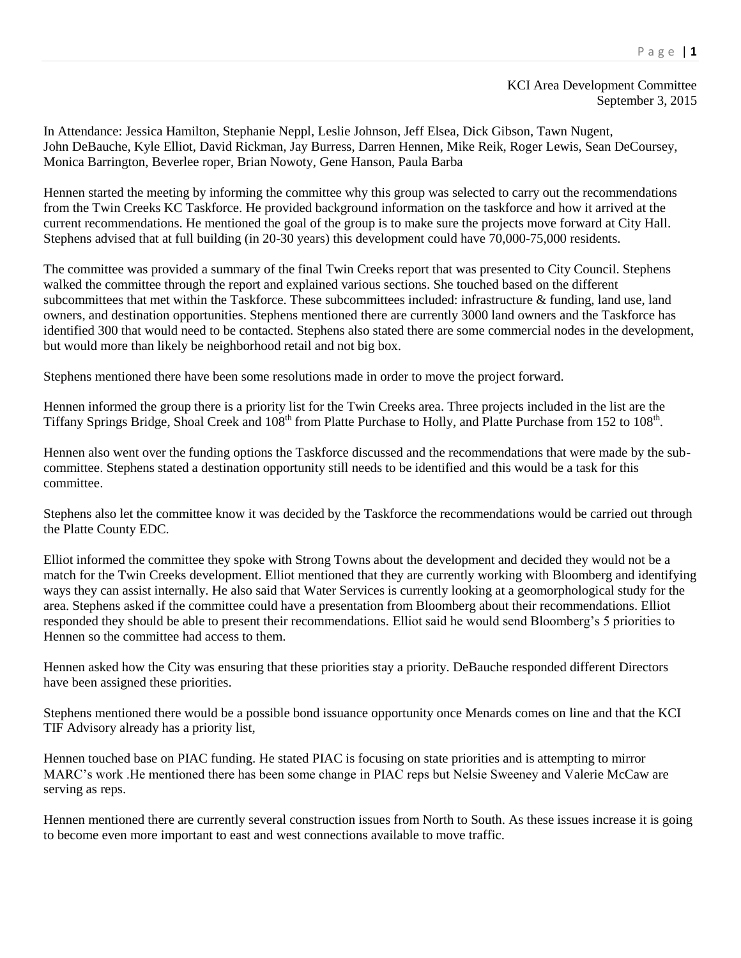## KCI Area Development Committee September 3, 2015

In Attendance: Jessica Hamilton, Stephanie Neppl, Leslie Johnson, Jeff Elsea, Dick Gibson, Tawn Nugent, John DeBauche, Kyle Elliot, David Rickman, Jay Burress, Darren Hennen, Mike Reik, Roger Lewis, Sean DeCoursey, Monica Barrington, Beverlee roper, Brian Nowoty, Gene Hanson, Paula Barba

Hennen started the meeting by informing the committee why this group was selected to carry out the recommendations from the Twin Creeks KC Taskforce. He provided background information on the taskforce and how it arrived at the current recommendations. He mentioned the goal of the group is to make sure the projects move forward at City Hall. Stephens advised that at full building (in 20-30 years) this development could have 70,000-75,000 residents.

The committee was provided a summary of the final Twin Creeks report that was presented to City Council. Stephens walked the committee through the report and explained various sections. She touched based on the different subcommittees that met within the Taskforce. These subcommittees included: infrastructure & funding, land use, land owners, and destination opportunities. Stephens mentioned there are currently 3000 land owners and the Taskforce has identified 300 that would need to be contacted. Stephens also stated there are some commercial nodes in the development, but would more than likely be neighborhood retail and not big box.

Stephens mentioned there have been some resolutions made in order to move the project forward.

Hennen informed the group there is a priority list for the Twin Creeks area. Three projects included in the list are the Tiffany Springs Bridge, Shoal Creek and 108<sup>th</sup> from Platte Purchase to Holly, and Platte Purchase from 152 to 108<sup>th</sup>.

Hennen also went over the funding options the Taskforce discussed and the recommendations that were made by the subcommittee. Stephens stated a destination opportunity still needs to be identified and this would be a task for this committee.

Stephens also let the committee know it was decided by the Taskforce the recommendations would be carried out through the Platte County EDC.

Elliot informed the committee they spoke with Strong Towns about the development and decided they would not be a match for the Twin Creeks development. Elliot mentioned that they are currently working with Bloomberg and identifying ways they can assist internally. He also said that Water Services is currently looking at a geomorphological study for the area. Stephens asked if the committee could have a presentation from Bloomberg about their recommendations. Elliot responded they should be able to present their recommendations. Elliot said he would send Bloomberg's 5 priorities to Hennen so the committee had access to them.

Hennen asked how the City was ensuring that these priorities stay a priority. DeBauche responded different Directors have been assigned these priorities.

Stephens mentioned there would be a possible bond issuance opportunity once Menards comes on line and that the KCI TIF Advisory already has a priority list,

Hennen touched base on PIAC funding. He stated PIAC is focusing on state priorities and is attempting to mirror MARC's work .He mentioned there has been some change in PIAC reps but Nelsie Sweeney and Valerie McCaw are serving as reps.

Hennen mentioned there are currently several construction issues from North to South. As these issues increase it is going to become even more important to east and west connections available to move traffic.